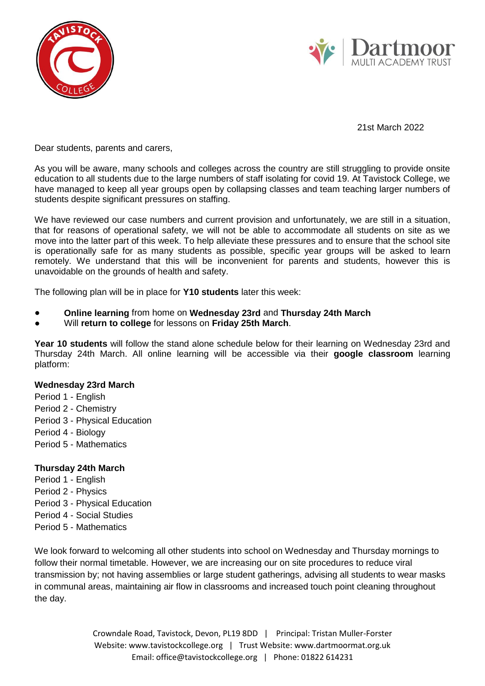



21st March 2022

Dear students, parents and carers,

As you will be aware, many schools and colleges across the country are still struggling to provide onsite education to all students due to the large numbers of staff isolating for covid 19. At Tavistock College, we have managed to keep all year groups open by collapsing classes and team teaching larger numbers of students despite significant pressures on staffing.

We have reviewed our case numbers and current provision and unfortunately, we are still in a situation, that for reasons of operational safety, we will not be able to accommodate all students on site as we move into the latter part of this week. To help alleviate these pressures and to ensure that the school site is operationally safe for as many students as possible, specific year groups will be asked to learn remotely. We understand that this will be inconvenient for parents and students, however this is unavoidable on the grounds of health and safety.

The following plan will be in place for **Y10 students** later this week:

- **Online learning** from home on **Wednesday 23rd** and **Thursday 24th March**
- Will **return to college** for lessons on **Friday 25th March**.

**Year 10 students** will follow the stand alone schedule below for their learning on Wednesday 23rd and Thursday 24th March. All online learning will be accessible via their **google classroom** learning platform:

## **Wednesday 23rd March**

- Period 1 English Period 2 - Chemistry Period 3 - Physical Education
- Period 4 Biology
- Period 5 Mathematics

## **Thursday 24th March**

- Period 1 English
- Period 2 Physics
- Period 3 Physical Education
- Period 4 Social Studies
- Period 5 Mathematics

We look forward to welcoming all other students into school on Wednesday and Thursday mornings to follow their normal timetable. However, we are increasing our on site procedures to reduce viral transmission by; not having assemblies or large student gatherings, advising all students to wear masks in communal areas, maintaining air flow in classrooms and increased touch point cleaning throughout the day.